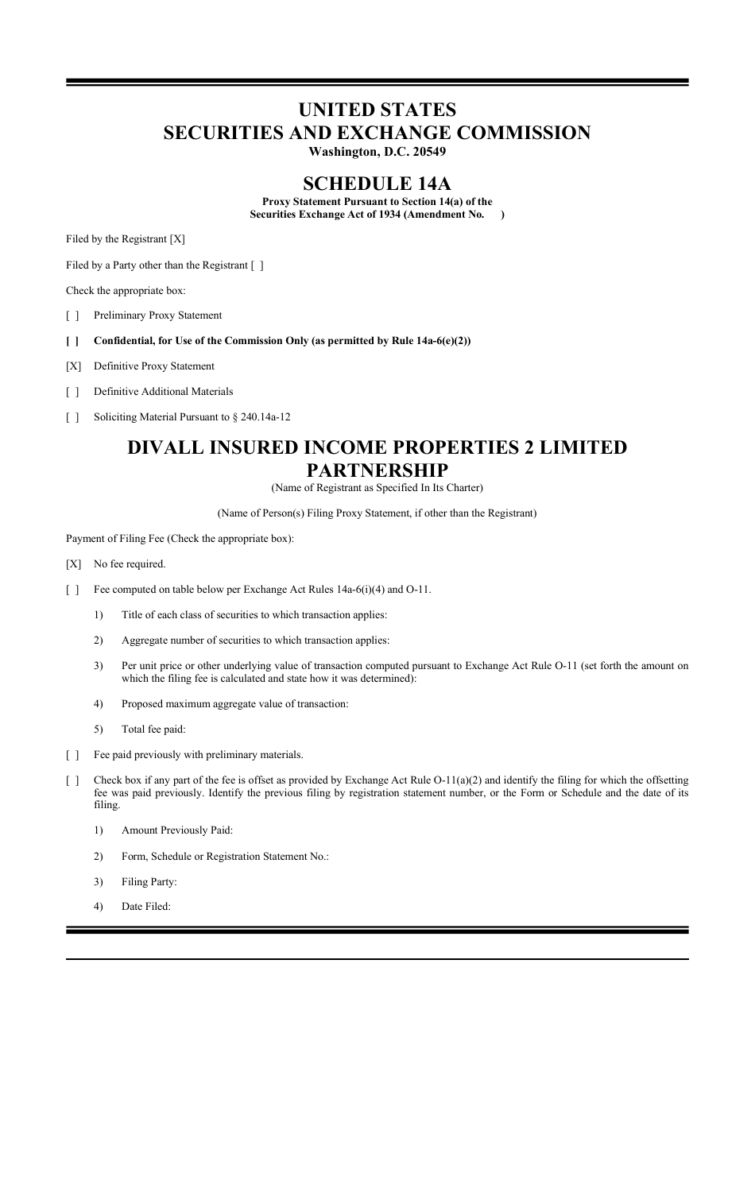# **UNITED STATES SECURITIES AND EXCHANGE COMMISSION**

**Washington, D.C. 20549**

## **SCHEDULE 14A**

**Proxy Statement Pursuant to Section 14(a) of the Securities Exchange Act of 1934 (Amendment No. )**

Filed by the Registrant [X]

Filed by a Party other than the Registrant [ ]

Check the appropriate box:

[ ] Preliminary Proxy Statement

- **[ ] Confidential, for Use of the Commission Only (as permitted by Rule 14a-6(e)(2))**
- [X] Definitive Proxy Statement
- [ ] Definitive Additional Materials
- [ ] Soliciting Material Pursuant to § 240.14a-12

## **DIVALL INSURED INCOME PROPERTIES 2 LIMITED PARTNERSHIP**

(Name of Registrant as Specified In Its Charter)

(Name of Person(s) Filing Proxy Statement, if other than the Registrant)

Payment of Filing Fee (Check the appropriate box):

- [X] No fee required.
- [ ] Fee computed on table below per Exchange Act Rules 14a-6(i)(4) and O-11.
	- 1) Title of each class of securities to which transaction applies:
	- 2) Aggregate number of securities to which transaction applies:
	- 3) Per unit price or other underlying value of transaction computed pursuant to Exchange Act Rule O-11 (set forth the amount on which the filing fee is calculated and state how it was determined):
	- 4) Proposed maximum aggregate value of transaction:
	- 5) Total fee paid:
- [ ] Fee paid previously with preliminary materials.
- [ ] Check box if any part of the fee is offset as provided by Exchange Act Rule O-11(a)(2) and identify the filing for which the offsetting fee was paid previously. Identify the previous filing by registration statement number, or the Form or Schedule and the date of its filing.
	- 1) Amount Previously Paid:
	- 2) Form, Schedule or Registration Statement No.:
	- 3) Filing Party:
	- 4) Date Filed: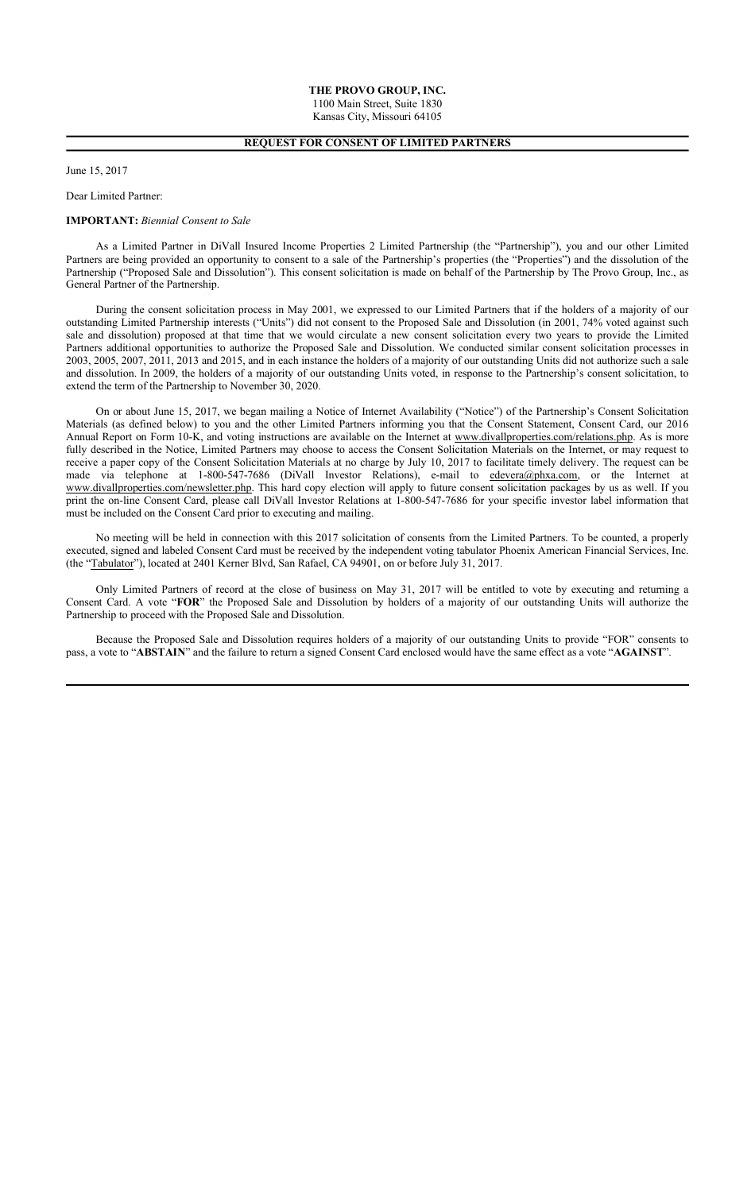## **REQUEST FOR CONSENT OF LIMITED PARTNERS**

#### June 15, 2017

Dear Limited Partner:

#### **IMPORTANT:** *Biennial Consent to Sale*

As a Limited Partner in DiVall Insured Income Properties 2 Limited Partnership (the "Partnership"), you and our other Limited Partners are being provided an opportunity to consent to a sale of the Partnership's properties (the "Properties") and the dissolution of the Partnership ("Proposed Sale and Dissolution"). This consent solicitation is made on behalf of the Partnership by The Provo Group, Inc., as General Partner of the Partnership.

During the consent solicitation process in May 2001, we expressed to our Limited Partners that if the holders of a majority of our outstanding Limited Partnership interests ("Units") did not consent to the Proposed Sale and Dissolution (in 2001, 74% voted against such sale and dissolution) proposed at that time that we would circulate a new consent solicitation every two years to provide the Limited Partners additional opportunities to authorize the Proposed Sale and Dissolution. We conducted similar consent solicitation processes in 2003, 2005, 2007, 2011, 2013 and 2015, and in each instance the holders of a majority of our outstanding Units did not authorize such a sale and dissolution. In 2009, the holders of a majority of our outstanding Units voted, in response to the Partnership's consent solicitation, to extend the term of the Partnership to November 30, 2020.

On or about June 15, 2017, we began mailing a Notice of Internet Availability ("Notice") of the Partnership's Consent Solicitation Materials (as defined below) to you and the other Limited Partners informing you that the Consent Statement, Consent Card, our 2016 Annual Report on Form 10-K, and voting instructions are available on the Internet at www.divallproperties.com/relations.php. As is more fully described in the Notice, Limited Partners may choose to access the Consent Solicitation Materials on the Internet, or may request to receive a paper copy of the Consent Solicitation Materials at no charge by July 10, 2017 to facilitate timely delivery. The request can be made via telephone at 1-800-547-7686 (DiVall Investor Relations), e-mail to edevera@phxa.com, or the Internet at www.divallproperties.com/newsletter.php. This hard copy election will apply to future consent solicitation packages by us as well. If you print the on-line Consent Card, please call DiVall Investor Relations at 1-800-547-7686 for your specific investor label information that must be included on the Consent Card prior to executing and mailing.

No meeting will be held in connection with this 2017 solicitation of consents from the Limited Partners. To be counted, a properly executed, signed and labeled Consent Card must be received by the independent voting tabulator Phoenix American Financial Services, Inc. (the "Tabulator"), located at 2401 Kerner Blvd, San Rafael, CA 94901, on or before July 31, 2017.

Only Limited Partners of record at the close of business on May 31, 2017 will be entitled to vote by executing and returning a Consent Card. A vote "**FOR**" the Proposed Sale and Dissolution by holders of a majority of our outstanding Units will authorize the Partnership to proceed with the Proposed Sale and Dissolution.

Because the Proposed Sale and Dissolution requires holders of a majority of our outstanding Units to provide "FOR" consents to pass, a vote to "**ABSTAIN**" and the failure to return a signed Consent Card enclosed would have the same effect as a vote "**AGAINST**".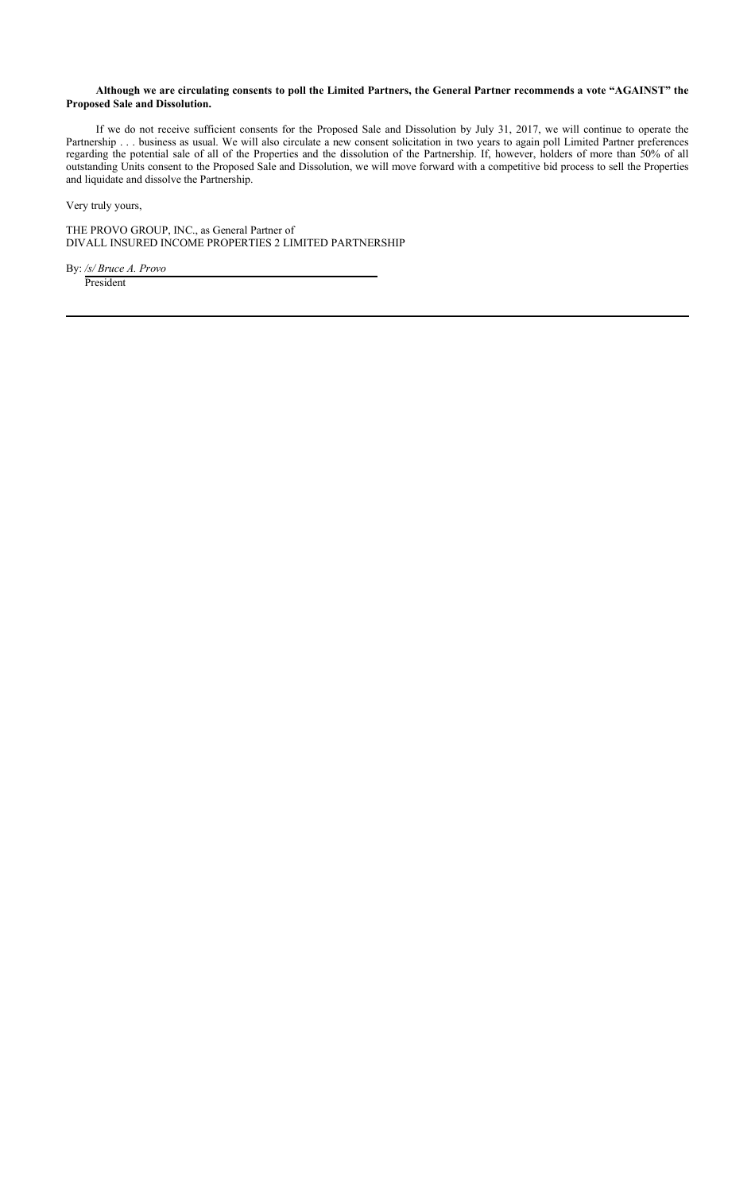## **Although we are circulating consents to poll the Limited Partners, the General Partner recommends a vote "AGAINST" the Proposed Sale and Dissolution.**

If we do not receive sufficient consents for the Proposed Sale and Dissolution by July 31, 2017, we will continue to operate the Partnership . . . business as usual. We will also circulate a new consent solicitation in two years to again poll Limited Partner preferences regarding the potential sale of all of the Properties and the dissolution of the Partnership. If, however, holders of more than 50% of all outstanding Units consent to the Proposed Sale and Dissolution, we will move forward with a competitive bid process to sell the Properties and liquidate and dissolve the Partnership.

Very truly yours,

THE PROVO GROUP, INC., as General Partner of DIVALL INSURED INCOME PROPERTIES 2 LIMITED PARTNERSHIP

By: */s/ Bruce A. Provo*  President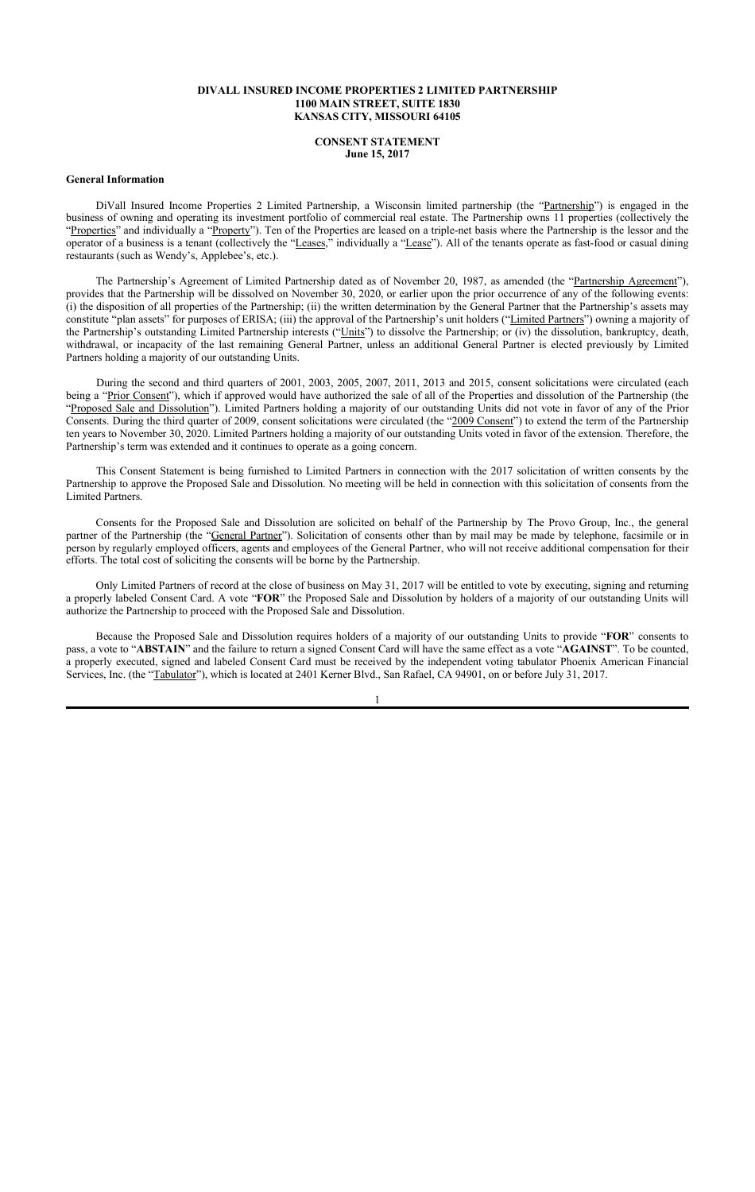### **DIVALL INSURED INCOME PROPERTIES 2 LIMITED PARTNERSHIP 1100 MAIN STREET, SUITE 1830 KANSAS CITY, MISSOURI 64105**

#### **CONSENT STATEMENT June 15, 2017**

#### **General Information**

DiVall Insured Income Properties 2 Limited Partnership, a Wisconsin limited partnership (the "Partnership") is engaged in the business of owning and operating its investment portfolio of commercial real estate. The Partnership owns 11 properties (collectively the "Properties" and individually a "Property"). Ten of the Properties are leased on a triple-net basis where the Partnership is the lessor and the operator of a business is a tenant (collectively the "Leases," individually a "Lease"). All of the tenants operate as fast-food or casual dining restaurants (such as Wendy's, Applebee's, etc.).

The Partnership's Agreement of Limited Partnership dated as of November 20, 1987, as amended (the "Partnership Agreement"), provides that the Partnership will be dissolved on November 30, 2020, or earlier upon the prior occurrence of any of the following events: (i) the disposition of all properties of the Partnership; (ii) the written determination by the General Partner that the Partnership's assets may constitute "plan assets" for purposes of ERISA; (iii) the approval of the Partnership's unit holders ("Limited Partners") owning a majority of the Partnership's outstanding Limited Partnership interests ("Units") to dissolve the Partnership; or (iv) the dissolution, bankruptcy, death, withdrawal, or incapacity of the last remaining General Partner, unless an additional General Partner is elected previously by Limited Partners holding a majority of our outstanding Units.

During the second and third quarters of 2001, 2003, 2005, 2007, 2011, 2013 and 2015, consent solicitations were circulated (each being a "Prior Consent"), which if approved would have authorized the sale of all of the Properties and dissolution of the Partnership (the "Proposed Sale and Dissolution"). Limited Partners holding a majority of our outstanding Units did not vote in favor of any of the Prior Consents. During the third quarter of 2009, consent solicitations were circulated (the "2009 Consent") to extend the term of the Partnership ten years to November 30, 2020. Limited Partners holding a majority of our outstanding Units voted in favor of the extension. Therefore, the Partnership's term was extended and it continues to operate as a going concern.

This Consent Statement is being furnished to Limited Partners in connection with the 2017 solicitation of written consents by the Partnership to approve the Proposed Sale and Dissolution. No meeting will be held in connection with this solicitation of consents from the Limited Partners.

Consents for the Proposed Sale and Dissolution are solicited on behalf of the Partnership by The Provo Group, Inc., the general partner of the Partnership (the "General Partner"). Solicitation of consents other than by mail may be made by telephone, facsimile or in person by regularly employed officers, agents and employees of the General Partner, who will not receive additional compensation for their efforts. The total cost of soliciting the consents will be borne by the Partnership.

Only Limited Partners of record at the close of business on May 31, 2017 will be entitled to vote by executing, signing and returning a properly labeled Consent Card. A vote "**FOR**" the Proposed Sale and Dissolution by holders of a majority of our outstanding Units will authorize the Partnership to proceed with the Proposed Sale and Dissolution.

Because the Proposed Sale and Dissolution requires holders of a majority of our outstanding Units to provide "**FOR**" consents to pass, a vote to "**ABSTAIN**" and the failure to return a signed Consent Card will have the same effect as a vote "**AGAINST**". To be counted, a properly executed, signed and labeled Consent Card must be received by the independent voting tabulator Phoenix American Financial Services, Inc. (the "Tabulator"), which is located at 2401 Kerner Blvd., San Rafael, CA 94901, on or before July 31, 2017.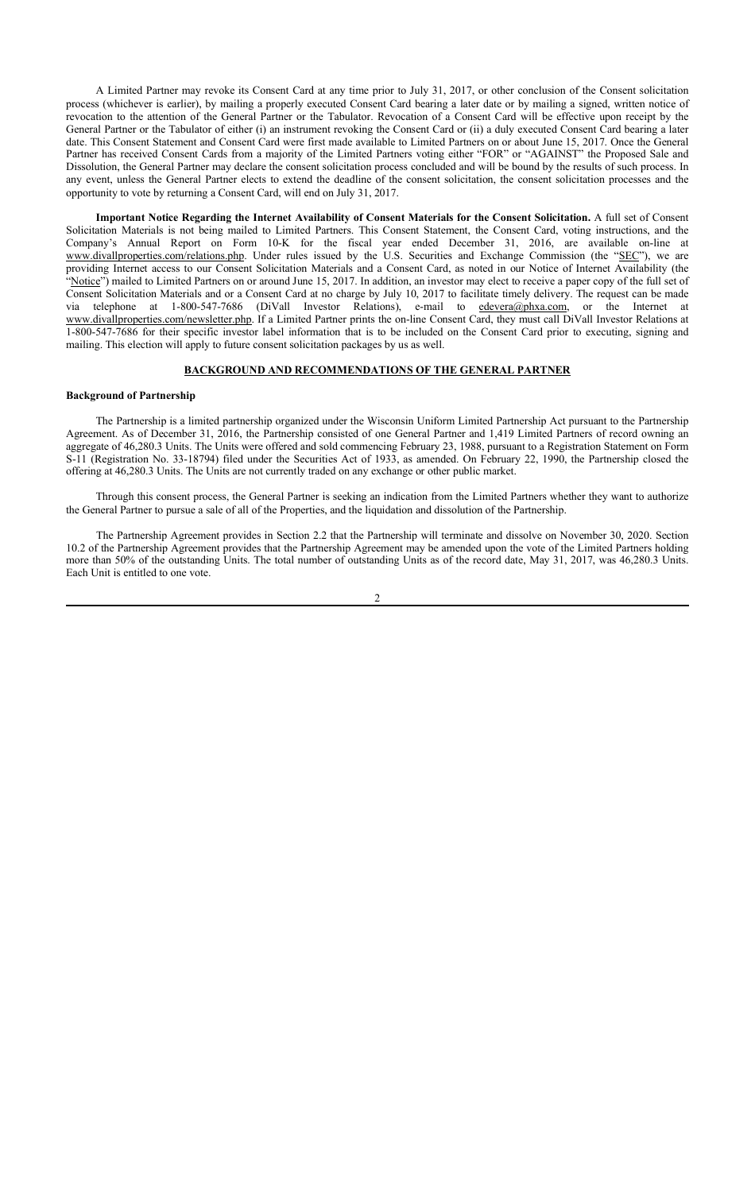A Limited Partner may revoke its Consent Card at any time prior to July 31, 2017, or other conclusion of the Consent solicitation process (whichever is earlier), by mailing a properly executed Consent Card bearing a later date or by mailing a signed, written notice of revocation to the attention of the General Partner or the Tabulator. Revocation of a Consent Card will be effective upon receipt by the General Partner or the Tabulator of either (i) an instrument revoking the Consent Card or (ii) a duly executed Consent Card bearing a later date. This Consent Statement and Consent Card were first made available to Limited Partners on or about June 15, 2017. Once the General Partner has received Consent Cards from a majority of the Limited Partners voting either "FOR" or "AGAINST" the Proposed Sale and Dissolution, the General Partner may declare the consent solicitation process concluded and will be bound by the results of such process. In any event, unless the General Partner elects to extend the deadline of the consent solicitation, the consent solicitation processes and the opportunity to vote by returning a Consent Card, will end on July 31, 2017.

**Important Notice Regarding the Internet Availability of Consent Materials for the Consent Solicitation.** A full set of Consent Solicitation Materials is not being mailed to Limited Partners. This Consent Statement, the Consent Card, voting instructions, and the Company's Annual Report on Form 10-K for the fiscal year ended December 31, 2016, are available on-line at www.divallproperties.com/relations.php. Under rules issued by the U.S. Securities and Exchange Commission (the "SEC"), we are providing Internet access to our Consent Solicitation Materials and a Consent Card, as noted in our Notice of Internet Availability (the "Notice") mailed to Limited Partners on or around June 15, 2017. In addition, an investor may elect to receive a paper copy of the full set of Consent Solicitation Materials and or a Consent Card at no charge by July 10, 2017 to facilitate timely delivery. The request can be made via telephone at 1-800-547-7686 (DiVall Investor Relations), e-mail to edevera@phxa.com, or the Internet at www.divallproperties.com/newsletter.php. If a Limited Partner prints the on-line Consent Card, they must call DiVall Investor Relations at 1-800-547-7686 for their specific investor label information that is to be included on the Consent Card prior to executing, signing and mailing. This election will apply to future consent solicitation packages by us as well.

#### **BACKGROUND AND RECOMMENDATIONS OF THE GENERAL PARTNER**

#### **Background of Partnership**

The Partnership is a limited partnership organized under the Wisconsin Uniform Limited Partnership Act pursuant to the Partnership Agreement. As of December 31, 2016, the Partnership consisted of one General Partner and 1,419 Limited Partners of record owning an aggregate of 46,280.3 Units. The Units were offered and sold commencing February 23, 1988, pursuant to a Registration Statement on Form S-11 (Registration No. 33-18794) filed under the Securities Act of 1933, as amended. On February 22, 1990, the Partnership closed the offering at 46,280.3 Units. The Units are not currently traded on any exchange or other public market.

Through this consent process, the General Partner is seeking an indication from the Limited Partners whether they want to authorize the General Partner to pursue a sale of all of the Properties, and the liquidation and dissolution of the Partnership.

The Partnership Agreement provides in Section 2.2 that the Partnership will terminate and dissolve on November 30, 2020. Section 10.2 of the Partnership Agreement provides that the Partnership Agreement may be amended upon the vote of the Limited Partners holding more than 50% of the outstanding Units. The total number of outstanding Units as of the record date, May 31, 2017, was 46,280.3 Units. Each Unit is entitled to one vote.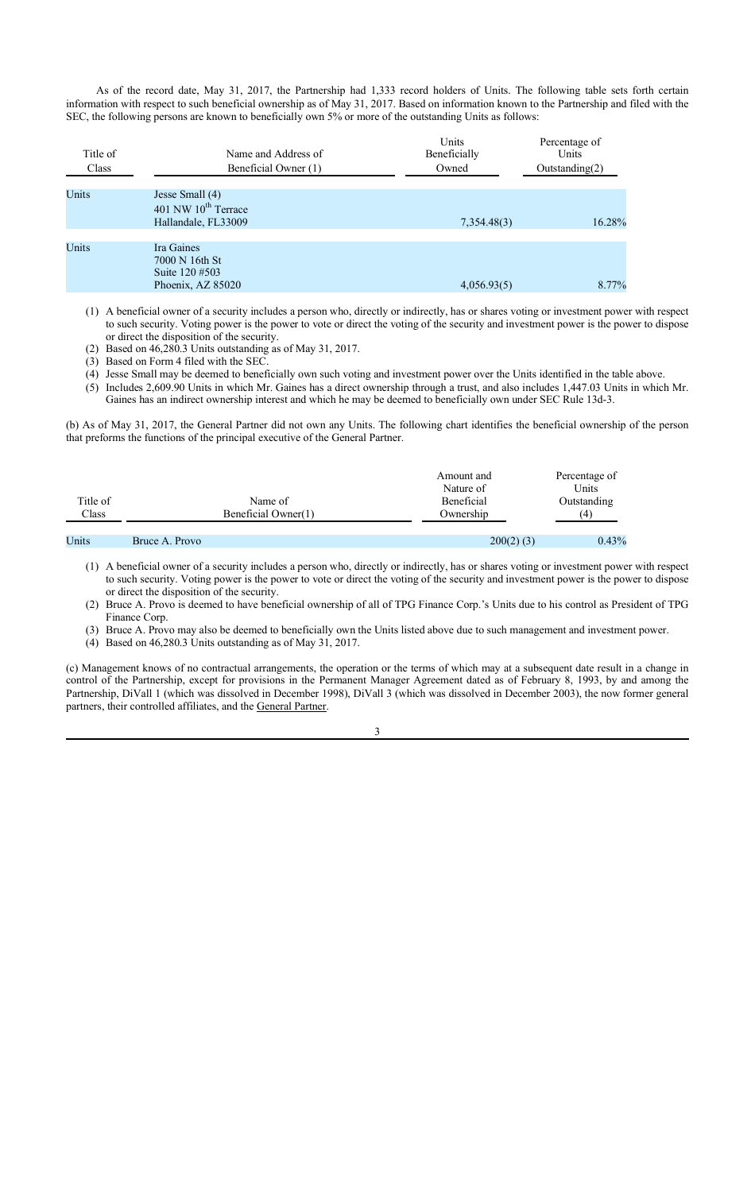As of the record date, May 31, 2017, the Partnership had 1,333 record holders of Units. The following table sets forth certain information with respect to such beneficial ownership as of May 31, 2017. Based on information known to the Partnership and filed with the SEC, the following persons are known to beneficially own 5% or more of the outstanding Units as follows:

| Title of<br>Class | Name and Address of<br>Beneficial Owner (1)                               | Units<br>Beneficially<br>Owned | Percentage of<br>Units<br>Outstanding(2) |  |
|-------------------|---------------------------------------------------------------------------|--------------------------------|------------------------------------------|--|
| Units             | Jesse Small (4)<br>401 NW 10 <sup>th</sup> Terrace<br>Hallandale, FL33009 | 7,354.48(3)                    | 16.28%                                   |  |
| Units             | Ira Gaines<br>7000 N 16th St<br>Suite 120 #503<br>Phoenix, AZ 85020       | 4,056.93(5)                    | 8.77%                                    |  |

(1) A beneficial owner of a security includes a person who, directly or indirectly, has or shares voting or investment power with respect to such security. Voting power is the power to vote or direct the voting of the security and investment power is the power to dispose or direct the disposition of the security.

(2) Based on 46,280.3 Units outstanding as of May 31, 2017.

(3) Based on Form 4 filed with the SEC.

(4) Jesse Small may be deemed to beneficially own such voting and investment power over the Units identified in the table above.

(5) Includes 2,609.90 Units in which Mr. Gaines has a direct ownership through a trust, and also includes 1,447.03 Units in which Mr. Gaines has an indirect ownership interest and which he may be deemed to beneficially own under SEC Rule 13d-3.

(b) As of May 31, 2017, the General Partner did not own any Units. The following chart identifies the beneficial ownership of the person that preforms the functions of the principal executive of the General Partner.

| Title of<br>Class |                | Name of<br>Beneficial Owner(1) | Amount and<br>Nature of<br>Beneficial<br>Ownership | Percentage of<br>Units<br>Outstanding<br>(4) |
|-------------------|----------------|--------------------------------|----------------------------------------------------|----------------------------------------------|
| Units             | Bruce A. Provo |                                | $200(2)$ (3)                                       | 0.43%                                        |

(1) A beneficial owner of a security includes a person who, directly or indirectly, has or shares voting or investment power with respect to such security. Voting power is the power to vote or direct the voting of the security and investment power is the power to dispose or direct the disposition of the security.

(2) Bruce A. Provo is deemed to have beneficial ownership of all of TPG Finance Corp.'s Units due to his control as President of TPG Finance Corp.

(3) Bruce A. Provo may also be deemed to beneficially own the Units listed above due to such management and investment power.

(4) Based on 46,280.3 Units outstanding as of May 31, 2017.

(c) Management knows of no contractual arrangements, the operation or the terms of which may at a subsequent date result in a change in control of the Partnership, except for provisions in the Permanent Manager Agreement dated as of February 8, 1993, by and among the Partnership, DiVall 1 (which was dissolved in December 1998), DiVall 3 (which was dissolved in December 2003), the now former general partners, their controlled affiliates, and the General Partner.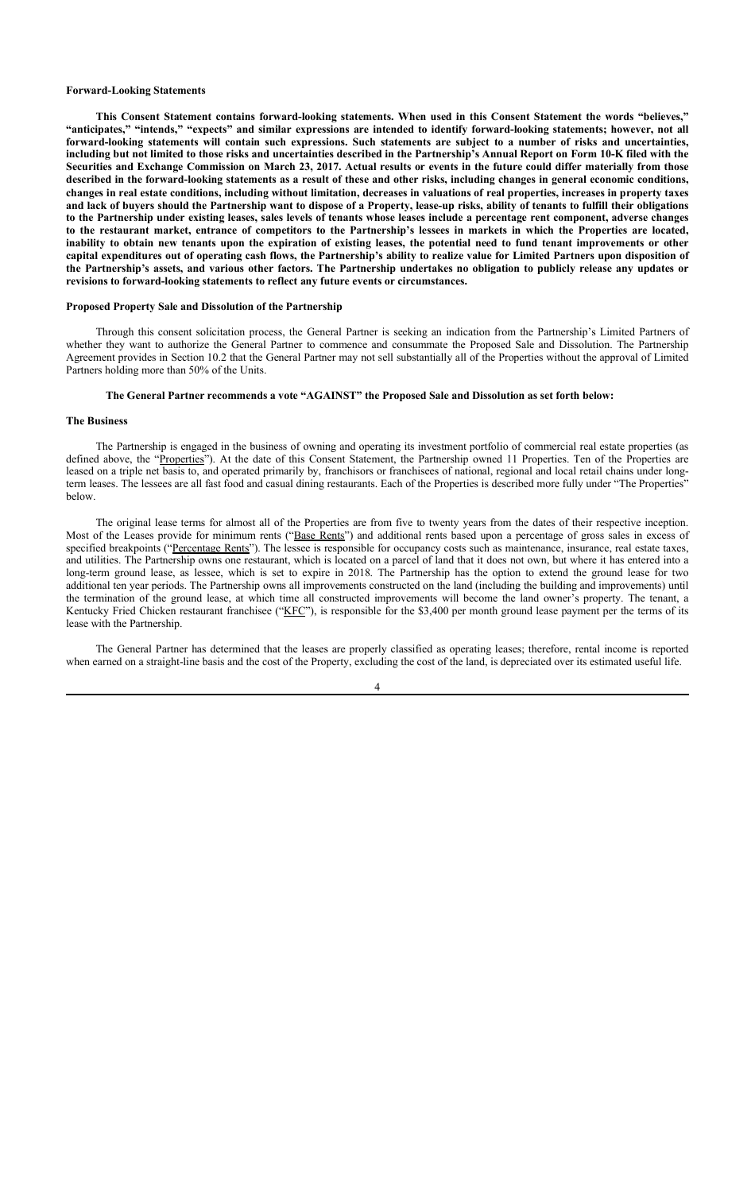#### **Forward-Looking Statements**

**This Consent Statement contains forward-looking statements. When used in this Consent Statement the words "believes," "anticipates," "intends," "expects" and similar expressions are intended to identify forward-looking statements; however, not all forward-looking statements will contain such expressions. Such statements are subject to a number of risks and uncertainties, including but not limited to those risks and uncertainties described in the Partnership's Annual Report on Form 10-K filed with the Securities and Exchange Commission on March 23, 2017. Actual results or events in the future could differ materially from those described in the forward-looking statements as a result of these and other risks, including changes in general economic conditions, changes in real estate conditions, including without limitation, decreases in valuations of real properties, increases in property taxes and lack of buyers should the Partnership want to dispose of a Property, lease-up risks, ability of tenants to fulfill their obligations to the Partnership under existing leases, sales levels of tenants whose leases include a percentage rent component, adverse changes to the restaurant market, entrance of competitors to the Partnership's lessees in markets in which the Properties are located, inability to obtain new tenants upon the expiration of existing leases, the potential need to fund tenant improvements or other capital expenditures out of operating cash flows, the Partnership's ability to realize value for Limited Partners upon disposition of the Partnership's assets, and various other factors. The Partnership undertakes no obligation to publicly release any updates or revisions to forward-looking statements to reflect any future events or circumstances.**

#### **Proposed Property Sale and Dissolution of the Partnership**

Through this consent solicitation process, the General Partner is seeking an indication from the Partnership's Limited Partners of whether they want to authorize the General Partner to commence and consummate the Proposed Sale and Dissolution. The Partnership Agreement provides in Section 10.2 that the General Partner may not sell substantially all of the Properties without the approval of Limited Partners holding more than 50% of the Units.

#### **The General Partner recommends a vote "AGAINST" the Proposed Sale and Dissolution as set forth below:**

#### **The Business**

The Partnership is engaged in the business of owning and operating its investment portfolio of commercial real estate properties (as defined above, the "Properties"). At the date of this Consent Statement, the Partnership owned 11 Properties. Ten of the Properties are leased on a triple net basis to, and operated primarily by, franchisors or franchisees of national, regional and local retail chains under longterm leases. The lessees are all fast food and casual dining restaurants. Each of the Properties is described more fully under "The Properties" below.

The original lease terms for almost all of the Properties are from five to twenty years from the dates of their respective inception. Most of the Leases provide for minimum rents ("Base Rents") and additional rents based upon a percentage of gross sales in excess of specified breakpoints ("Percentage Rents"). The lessee is responsible for occupancy costs such as maintenance, insurance, real estate taxes, and utilities. The Partnership owns one restaurant, which is located on a parcel of land that it does not own, but where it has entered into a long-term ground lease, as lessee, which is set to expire in 2018. The Partnership has the option to extend the ground lease for two additional ten year periods. The Partnership owns all improvements constructed on the land (including the building and improvements) until the termination of the ground lease, at which time all constructed improvements will become the land owner's property. The tenant, a Kentucky Fried Chicken restaurant franchisee ("KFC"), is responsible for the \$3,400 per month ground lease payment per the terms of its lease with the Partnership.

The General Partner has determined that the leases are properly classified as operating leases; therefore, rental income is reported when earned on a straight-line basis and the cost of the Property, excluding the cost of the land, is depreciated over its estimated useful life.

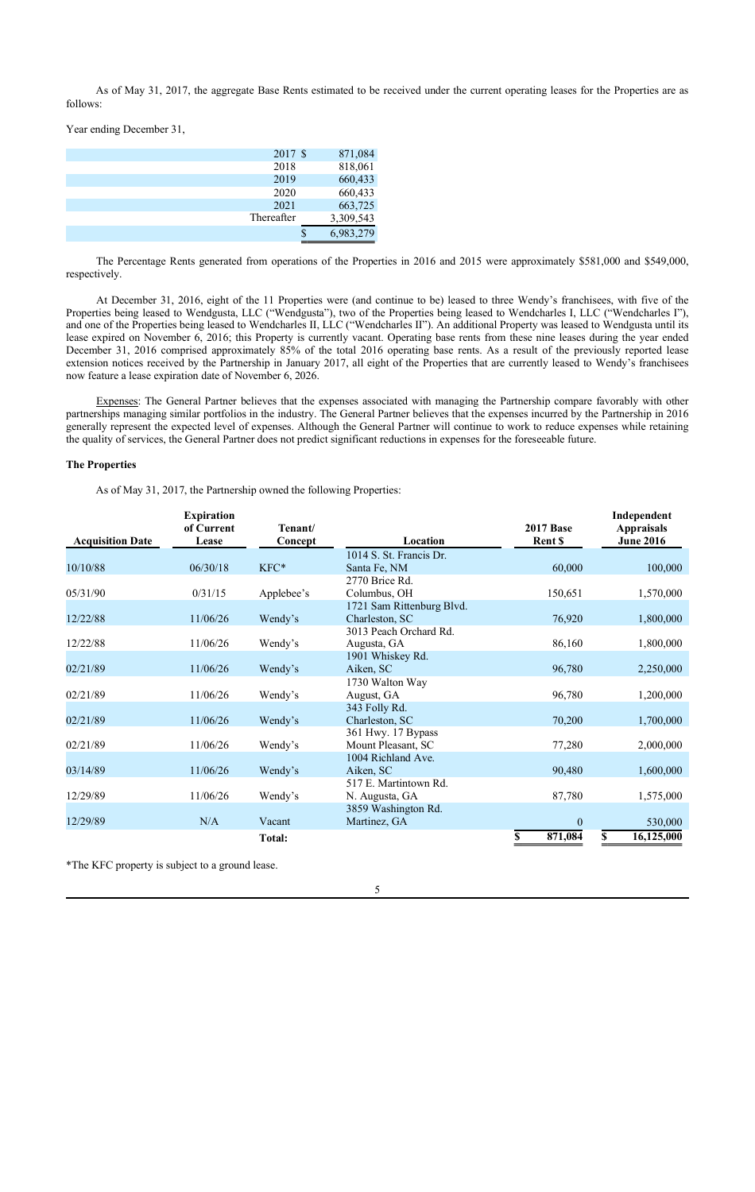As of May 31, 2017, the aggregate Base Rents estimated to be received under the current operating leases for the Properties are as follows:

Year ending December 31,

| 2017 \$    | 871,084   |
|------------|-----------|
| 2018       | 818,061   |
| 2019       | 660,433   |
| 2020       | 660,433   |
| 2021       | 663,725   |
| Thereafter | 3,309,543 |
|            | 6,983,279 |

The Percentage Rents generated from operations of the Properties in 2016 and 2015 were approximately \$581,000 and \$549,000, respectively.

At December 31, 2016, eight of the 11 Properties were (and continue to be) leased to three Wendy's franchisees, with five of the Properties being leased to Wendgusta, LLC ("Wendgusta"), two of the Properties being leased to Wendcharles I, LLC ("Wendcharles I"), and one of the Properties being leased to Wendcharles II, LLC ("Wendcharles II"). An additional Property was leased to Wendgusta until its lease expired on November 6, 2016; this Property is currently vacant. Operating base rents from these nine leases during the year ended December 31, 2016 comprised approximately 85% of the total 2016 operating base rents. As a result of the previously reported lease extension notices received by the Partnership in January 2017, all eight of the Properties that are currently leased to Wendy's franchisees now feature a lease expiration date of November 6, 2026.

Expenses: The General Partner believes that the expenses associated with managing the Partnership compare favorably with other partnerships managing similar portfolios in the industry. The General Partner believes that the expenses incurred by the Partnership in 2016 generally represent the expected level of expenses. Although the General Partner will continue to work to reduce expenses while retaining the quality of services, the General Partner does not predict significant reductions in expenses for the foreseeable future.

### **The Properties**

As of May 31, 2017, the Partnership owned the following Properties:

|                         | <b>Expiration</b><br>of Current | Tenant/       |                           | <b>2017 Base</b><br>Rent \$ | Independent<br><b>Appraisals</b><br><b>June 2016</b> |
|-------------------------|---------------------------------|---------------|---------------------------|-----------------------------|------------------------------------------------------|
| <b>Acquisition Date</b> | Lease                           | Concept       | Location                  |                             |                                                      |
|                         |                                 |               | 1014 S. St. Francis Dr.   |                             |                                                      |
| 10/10/88                | 06/30/18                        | KFC*          | Santa Fe, NM              | 60,000                      | 100,000                                              |
|                         |                                 |               | 2770 Brice Rd.            |                             |                                                      |
| 05/31/90                | 0/31/15                         | Applebee's    | Columbus, OH              | 150,651                     | 1,570,000                                            |
|                         |                                 |               | 1721 Sam Rittenburg Blvd. |                             |                                                      |
| 12/22/88                | 11/06/26                        | Wendy's       | Charleston, SC            | 76,920                      | 1,800,000                                            |
|                         |                                 |               | 3013 Peach Orchard Rd.    |                             |                                                      |
| 12/22/88                | 11/06/26                        | Wendy's       | Augusta, GA               | 86,160                      | 1,800,000                                            |
|                         |                                 |               | 1901 Whiskey Rd.          |                             |                                                      |
| 02/21/89                | 11/06/26                        | Wendy's       | Aiken, SC                 | 96,780                      | 2,250,000                                            |
|                         |                                 |               | 1730 Walton Way           |                             |                                                      |
| 02/21/89                | 11/06/26                        | Wendy's       | August, GA                | 96,780                      | 1,200,000                                            |
|                         |                                 |               | 343 Folly Rd.             |                             |                                                      |
| 02/21/89                | 11/06/26                        | Wendy's       | Charleston, SC            | 70,200                      | 1,700,000                                            |
|                         |                                 |               | 361 Hwy. 17 Bypass        |                             |                                                      |
| 02/21/89                | 11/06/26                        | Wendy's       | Mount Pleasant, SC        | 77,280                      | 2,000,000                                            |
|                         |                                 |               | 1004 Richland Ave.        |                             |                                                      |
| 03/14/89                | 11/06/26                        | Wendy's       | Aiken, SC                 | 90,480                      | 1,600,000                                            |
|                         |                                 |               | 517 E. Martintown Rd.     |                             |                                                      |
| 12/29/89                | 11/06/26                        | Wendy's       | N. Augusta, GA            | 87,780                      | 1,575,000                                            |
|                         |                                 |               | 3859 Washington Rd.       |                             |                                                      |
| 12/29/89                | N/A                             | Vacant        | Martinez, GA              | $\mathbf{0}$                | 530,000                                              |
|                         |                                 | <b>Total:</b> |                           | \$<br>871,084               | 16,125,000<br>\$                                     |

\*The KFC property is subject to a ground lease.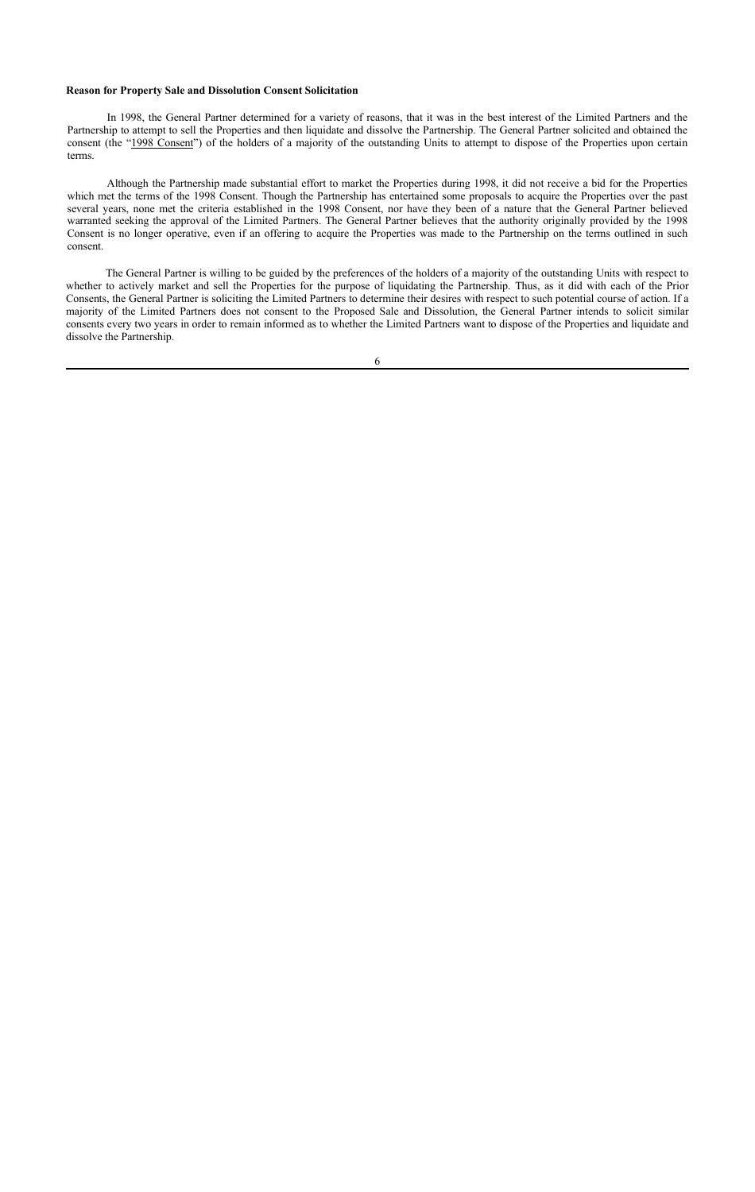## **Reason for Property Sale and Dissolution Consent Solicitation**

In 1998, the General Partner determined for a variety of reasons, that it was in the best interest of the Limited Partners and the Partnership to attempt to sell the Properties and then liquidate and dissolve the Partnership. The General Partner solicited and obtained the consent (the "1998 Consent") of the holders of a majority of the outstanding Units to attempt to dispose of the Properties upon certain terms.

Although the Partnership made substantial effort to market the Properties during 1998, it did not receive a bid for the Properties which met the terms of the 1998 Consent. Though the Partnership has entertained some proposals to acquire the Properties over the past several years, none met the criteria established in the 1998 Consent, nor have they been of a nature that the General Partner believed warranted seeking the approval of the Limited Partners. The General Partner believes that the authority originally provided by the 1998 Consent is no longer operative, even if an offering to acquire the Properties was made to the Partnership on the terms outlined in such consent.

The General Partner is willing to be guided by the preferences of the holders of a majority of the outstanding Units with respect to whether to actively market and sell the Properties for the purpose of liquidating the Partnership. Thus, as it did with each of the Prior Consents, the General Partner is soliciting the Limited Partners to determine their desires with respect to such potential course of action. If a majority of the Limited Partners does not consent to the Proposed Sale and Dissolution, the General Partner intends to solicit similar consents every two years in order to remain informed as to whether the Limited Partners want to dispose of the Properties and liquidate and dissolve the Partnership.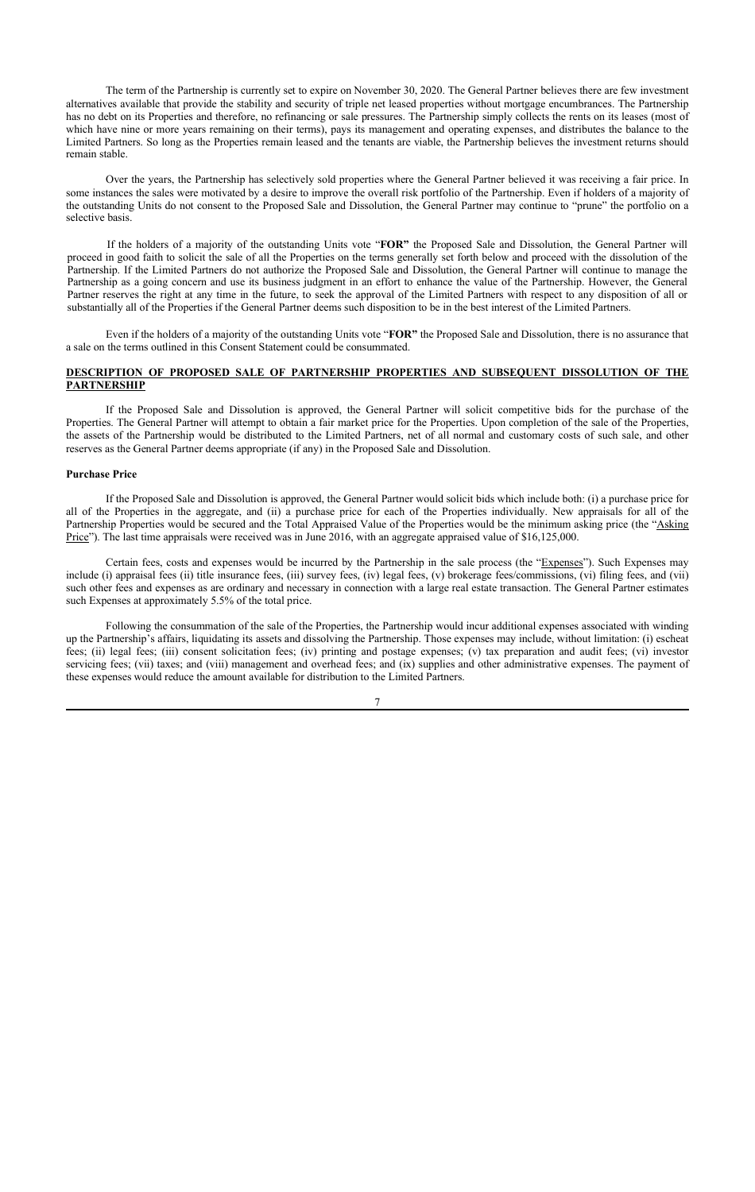The term of the Partnership is currently set to expire on November 30, 2020. The General Partner believes there are few investment alternatives available that provide the stability and security of triple net leased properties without mortgage encumbrances. The Partnership has no debt on its Properties and therefore, no refinancing or sale pressures. The Partnership simply collects the rents on its leases (most of which have nine or more years remaining on their terms), pays its management and operating expenses, and distributes the balance to the Limited Partners. So long as the Properties remain leased and the tenants are viable, the Partnership believes the investment returns should remain stable.

Over the years, the Partnership has selectively sold properties where the General Partner believed it was receiving a fair price. In some instances the sales were motivated by a desire to improve the overall risk portfolio of the Partnership. Even if holders of a majority of the outstanding Units do not consent to the Proposed Sale and Dissolution, the General Partner may continue to "prune" the portfolio on a selective basis.

If the holders of a majority of the outstanding Units vote "**FOR"** the Proposed Sale and Dissolution, the General Partner will proceed in good faith to solicit the sale of all the Properties on the terms generally set forth below and proceed with the dissolution of the Partnership. If the Limited Partners do not authorize the Proposed Sale and Dissolution, the General Partner will continue to manage the Partnership as a going concern and use its business judgment in an effort to enhance the value of the Partnership. However, the General Partner reserves the right at any time in the future, to seek the approval of the Limited Partners with respect to any disposition of all or substantially all of the Properties if the General Partner deems such disposition to be in the best interest of the Limited Partners.

Even if the holders of a majority of the outstanding Units vote "**FOR"** the Proposed Sale and Dissolution, there is no assurance that a sale on the terms outlined in this Consent Statement could be consummated.

## **DESCRIPTION OF PROPOSED SALE OF PARTNERSHIP PROPERTIES AND SUBSEQUENT DISSOLUTION OF THE PARTNERSHIP**

If the Proposed Sale and Dissolution is approved, the General Partner will solicit competitive bids for the purchase of the Properties. The General Partner will attempt to obtain a fair market price for the Properties. Upon completion of the sale of the Properties, the assets of the Partnership would be distributed to the Limited Partners, net of all normal and customary costs of such sale, and other reserves as the General Partner deems appropriate (if any) in the Proposed Sale and Dissolution.

## **Purchase Price**

If the Proposed Sale and Dissolution is approved, the General Partner would solicit bids which include both: (i) a purchase price for all of the Properties in the aggregate, and (ii) a purchase price for each of the Properties individually. New appraisals for all of the Partnership Properties would be secured and the Total Appraised Value of the Properties would be the minimum asking price (the "Asking Price"). The last time appraisals were received was in June 2016, with an aggregate appraised value of \$16,125,000.

Certain fees, costs and expenses would be incurred by the Partnership in the sale process (the "Expenses"). Such Expenses may include (i) appraisal fees (ii) title insurance fees, (iii) survey fees, (iv) legal fees, (v) brokerage fees/commissions, (vi) filing fees, and (vii) such other fees and expenses as are ordinary and necessary in connection with a large real estate transaction. The General Partner estimates such Expenses at approximately 5.5% of the total price.

Following the consummation of the sale of the Properties, the Partnership would incur additional expenses associated with winding up the Partnership's affairs, liquidating its assets and dissolving the Partnership. Those expenses may include, without limitation: (i) escheat fees; (ii) legal fees; (iii) consent solicitation fees; (iv) printing and postage expenses; (v) tax preparation and audit fees; (vi) investor servicing fees; (vii) taxes; and (viii) management and overhead fees; and (ix) supplies and other administrative expenses. The payment of these expenses would reduce the amount available for distribution to the Limited Partners.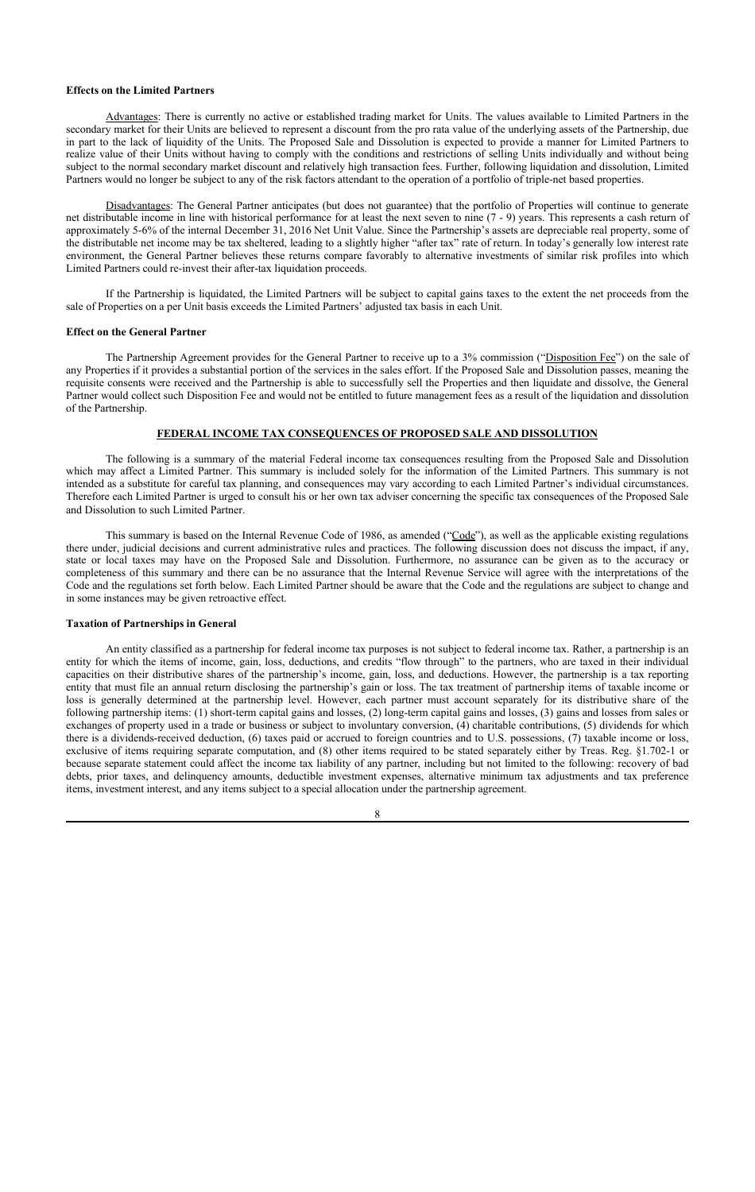#### **Effects on the Limited Partners**

Advantages: There is currently no active or established trading market for Units. The values available to Limited Partners in the secondary market for their Units are believed to represent a discount from the pro rata value of the underlying assets of the Partnership, due in part to the lack of liquidity of the Units. The Proposed Sale and Dissolution is expected to provide a manner for Limited Partners to realize value of their Units without having to comply with the conditions and restrictions of selling Units individually and without being subject to the normal secondary market discount and relatively high transaction fees. Further, following liquidation and dissolution, Limited Partners would no longer be subject to any of the risk factors attendant to the operation of a portfolio of triple-net based properties.

Disadvantages: The General Partner anticipates (but does not guarantee) that the portfolio of Properties will continue to generate net distributable income in line with historical performance for at least the next seven to nine (7 - 9) years. This represents a cash return of approximately 5-6% of the internal December 31, 2016 Net Unit Value. Since the Partnership's assets are depreciable real property, some of the distributable net income may be tax sheltered, leading to a slightly higher "after tax" rate of return. In today's generally low interest rate environment, the General Partner believes these returns compare favorably to alternative investments of similar risk profiles into which Limited Partners could re-invest their after-tax liquidation proceeds.

If the Partnership is liquidated, the Limited Partners will be subject to capital gains taxes to the extent the net proceeds from the sale of Properties on a per Unit basis exceeds the Limited Partners' adjusted tax basis in each Unit.

#### **Effect on the General Partner**

The Partnership Agreement provides for the General Partner to receive up to a 3% commission ("Disposition Fee") on the sale of any Properties if it provides a substantial portion of the services in the sales effort. If the Proposed Sale and Dissolution passes, meaning the requisite consents were received and the Partnership is able to successfully sell the Properties and then liquidate and dissolve, the General Partner would collect such Disposition Fee and would not be entitled to future management fees as a result of the liquidation and dissolution of the Partnership.

## **FEDERAL INCOME TAX CONSEQUENCES OF PROPOSED SALE AND DISSOLUTION**

The following is a summary of the material Federal income tax consequences resulting from the Proposed Sale and Dissolution which may affect a Limited Partner. This summary is included solely for the information of the Limited Partners. This summary is not intended as a substitute for careful tax planning, and consequences may vary according to each Limited Partner's individual circumstances. Therefore each Limited Partner is urged to consult his or her own tax adviser concerning the specific tax consequences of the Proposed Sale and Dissolution to such Limited Partner.

This summary is based on the Internal Revenue Code of 1986, as amended ("Code"), as well as the applicable existing regulations there under, judicial decisions and current administrative rules and practices. The following discussion does not discuss the impact, if any, state or local taxes may have on the Proposed Sale and Dissolution. Furthermore, no assurance can be given as to the accuracy or completeness of this summary and there can be no assurance that the Internal Revenue Service will agree with the interpretations of the Code and the regulations set forth below. Each Limited Partner should be aware that the Code and the regulations are subject to change and in some instances may be given retroactive effect.

#### **Taxation of Partnerships in General**

An entity classified as a partnership for federal income tax purposes is not subject to federal income tax. Rather, a partnership is an entity for which the items of income, gain, loss, deductions, and credits "flow through" to the partners, who are taxed in their individual capacities on their distributive shares of the partnership's income, gain, loss, and deductions. However, the partnership is a tax reporting entity that must file an annual return disclosing the partnership's gain or loss. The tax treatment of partnership items of taxable income or loss is generally determined at the partnership level. However, each partner must account separately for its distributive share of the following partnership items: (1) short-term capital gains and losses, (2) long-term capital gains and losses, (3) gains and losses from sales or exchanges of property used in a trade or business or subject to involuntary conversion, (4) charitable contributions, (5) dividends for which there is a dividends-received deduction, (6) taxes paid or accrued to foreign countries and to U.S. possessions, (7) taxable income or loss, exclusive of items requiring separate computation, and (8) other items required to be stated separately either by Treas. Reg. §1.702-1 or because separate statement could affect the income tax liability of any partner, including but not limited to the following: recovery of bad debts, prior taxes, and delinquency amounts, deductible investment expenses, alternative minimum tax adjustments and tax preference items, investment interest, and any items subject to a special allocation under the partnership agreement.

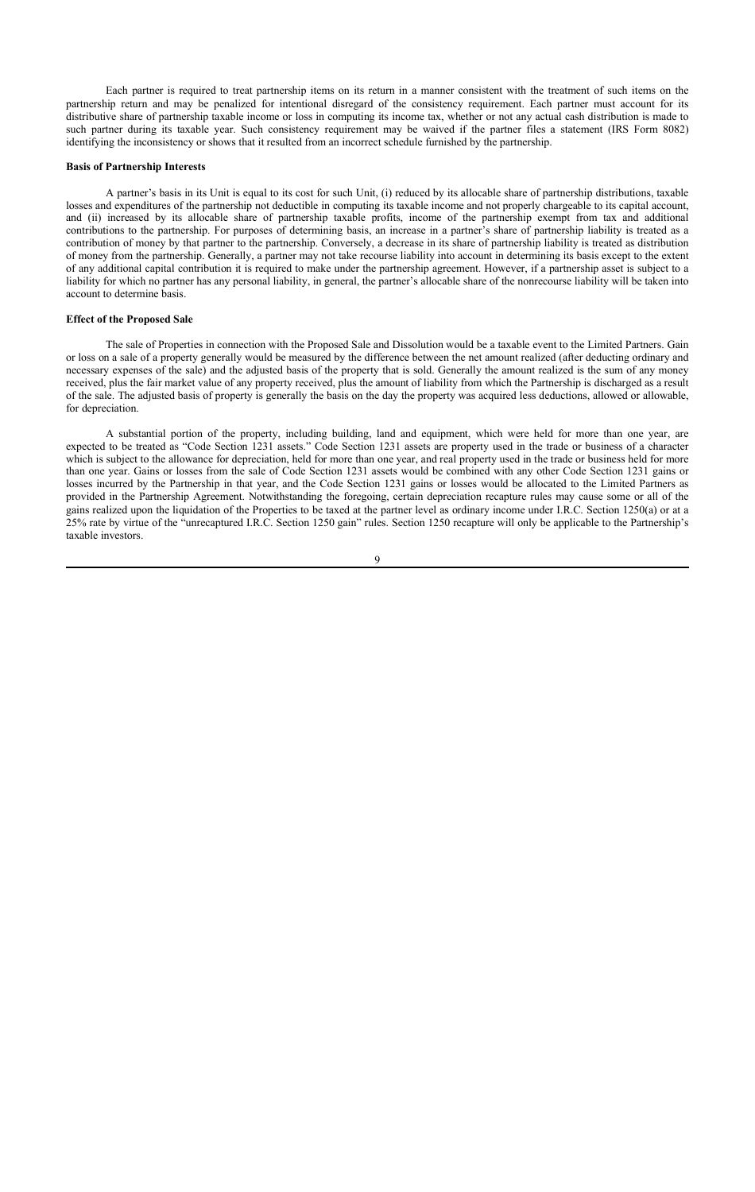Each partner is required to treat partnership items on its return in a manner consistent with the treatment of such items on the partnership return and may be penalized for intentional disregard of the consistency requirement. Each partner must account for its distributive share of partnership taxable income or loss in computing its income tax, whether or not any actual cash distribution is made to such partner during its taxable year. Such consistency requirement may be waived if the partner files a statement (IRS Form 8082) identifying the inconsistency or shows that it resulted from an incorrect schedule furnished by the partnership.

#### **Basis of Partnership Interests**

A partner's basis in its Unit is equal to its cost for such Unit, (i) reduced by its allocable share of partnership distributions, taxable losses and expenditures of the partnership not deductible in computing its taxable income and not properly chargeable to its capital account, and (ii) increased by its allocable share of partnership taxable profits, income of the partnership exempt from tax and additional contributions to the partnership. For purposes of determining basis, an increase in a partner's share of partnership liability is treated as a contribution of money by that partner to the partnership. Conversely, a decrease in its share of partnership liability is treated as distribution of money from the partnership. Generally, a partner may not take recourse liability into account in determining its basis except to the extent of any additional capital contribution it is required to make under the partnership agreement. However, if a partnership asset is subject to a liability for which no partner has any personal liability, in general, the partner's allocable share of the nonrecourse liability will be taken into account to determine basis.

#### **Effect of the Proposed Sale**

The sale of Properties in connection with the Proposed Sale and Dissolution would be a taxable event to the Limited Partners. Gain or loss on a sale of a property generally would be measured by the difference between the net amount realized (after deducting ordinary and necessary expenses of the sale) and the adjusted basis of the property that is sold. Generally the amount realized is the sum of any money received, plus the fair market value of any property received, plus the amount of liability from which the Partnership is discharged as a result of the sale. The adjusted basis of property is generally the basis on the day the property was acquired less deductions, allowed or allowable, for depreciation.

A substantial portion of the property, including building, land and equipment, which were held for more than one year, are expected to be treated as "Code Section 1231 assets." Code Section 1231 assets are property used in the trade or business of a character which is subject to the allowance for depreciation, held for more than one year, and real property used in the trade or business held for more than one year. Gains or losses from the sale of Code Section 1231 assets would be combined with any other Code Section 1231 gains or losses incurred by the Partnership in that year, and the Code Section 1231 gains or losses would be allocated to the Limited Partners as provided in the Partnership Agreement. Notwithstanding the foregoing, certain depreciation recapture rules may cause some or all of the gains realized upon the liquidation of the Properties to be taxed at the partner level as ordinary income under I.R.C. Section 1250(a) or at a 25% rate by virtue of the "unrecaptured I.R.C. Section 1250 gain" rules. Section 1250 recapture will only be applicable to the Partnership's taxable investors.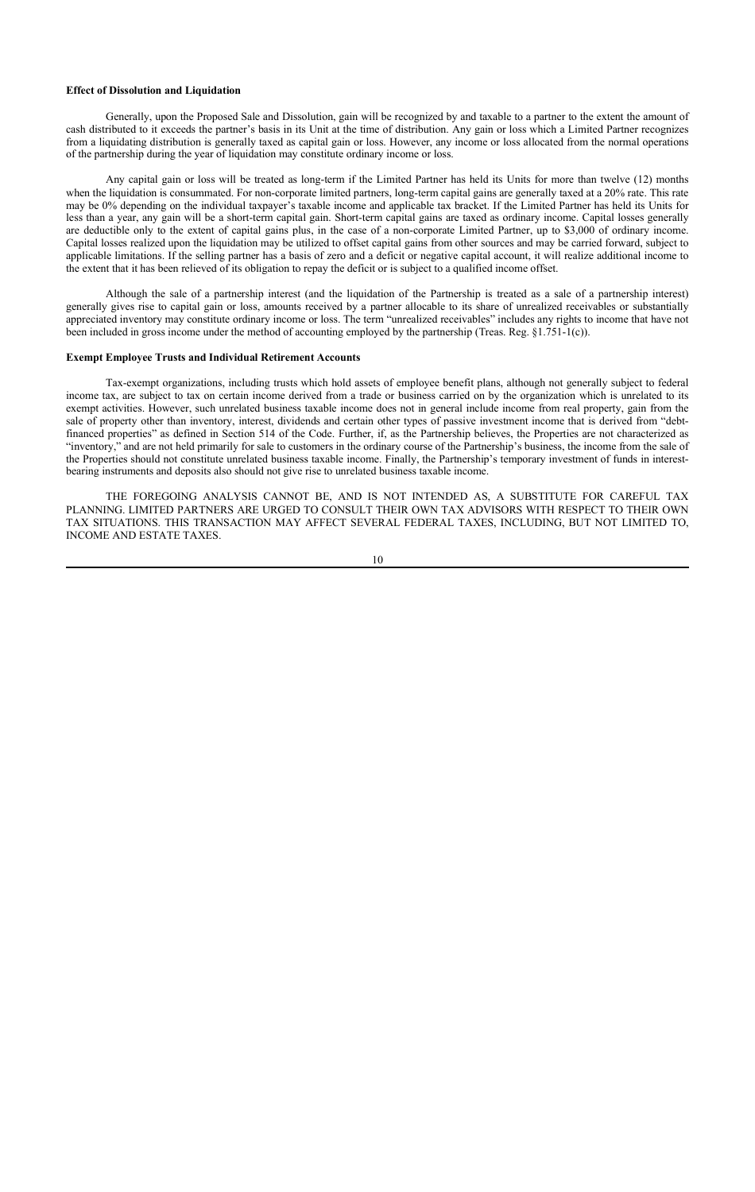#### **Effect of Dissolution and Liquidation**

Generally, upon the Proposed Sale and Dissolution, gain will be recognized by and taxable to a partner to the extent the amount of cash distributed to it exceeds the partner's basis in its Unit at the time of distribution. Any gain or loss which a Limited Partner recognizes from a liquidating distribution is generally taxed as capital gain or loss. However, any income or loss allocated from the normal operations of the partnership during the year of liquidation may constitute ordinary income or loss.

Any capital gain or loss will be treated as long-term if the Limited Partner has held its Units for more than twelve (12) months when the liquidation is consummated. For non-corporate limited partners, long-term capital gains are generally taxed at a 20% rate. This rate may be 0% depending on the individual taxpayer's taxable income and applicable tax bracket. If the Limited Partner has held its Units for less than a year, any gain will be a short-term capital gain. Short-term capital gains are taxed as ordinary income. Capital losses generally are deductible only to the extent of capital gains plus, in the case of a non-corporate Limited Partner, up to \$3,000 of ordinary income. Capital losses realized upon the liquidation may be utilized to offset capital gains from other sources and may be carried forward, subject to applicable limitations. If the selling partner has a basis of zero and a deficit or negative capital account, it will realize additional income to the extent that it has been relieved of its obligation to repay the deficit or is subject to a qualified income offset.

Although the sale of a partnership interest (and the liquidation of the Partnership is treated as a sale of a partnership interest) generally gives rise to capital gain or loss, amounts received by a partner allocable to its share of unrealized receivables or substantially appreciated inventory may constitute ordinary income or loss. The term "unrealized receivables" includes any rights to income that have not been included in gross income under the method of accounting employed by the partnership (Treas. Reg. §1.751-1(c)).

#### **Exempt Employee Trusts and Individual Retirement Accounts**

Tax-exempt organizations, including trusts which hold assets of employee benefit plans, although not generally subject to federal income tax, are subject to tax on certain income derived from a trade or business carried on by the organization which is unrelated to its exempt activities. However, such unrelated business taxable income does not in general include income from real property, gain from the sale of property other than inventory, interest, dividends and certain other types of passive investment income that is derived from "debtfinanced properties" as defined in Section 514 of the Code. Further, if, as the Partnership believes, the Properties are not characterized as "inventory," and are not held primarily for sale to customers in the ordinary course of the Partnership's business, the income from the sale of the Properties should not constitute unrelated business taxable income. Finally, the Partnership's temporary investment of funds in interestbearing instruments and deposits also should not give rise to unrelated business taxable income.

THE FOREGOING ANALYSIS CANNOT BE, AND IS NOT INTENDED AS, A SUBSTITUTE FOR CAREFUL TAX PLANNING. LIMITED PARTNERS ARE URGED TO CONSULT THEIR OWN TAX ADVISORS WITH RESPECT TO THEIR OWN TAX SITUATIONS. THIS TRANSACTION MAY AFFECT SEVERAL FEDERAL TAXES, INCLUDING, BUT NOT LIMITED TO, INCOME AND ESTATE TAXES.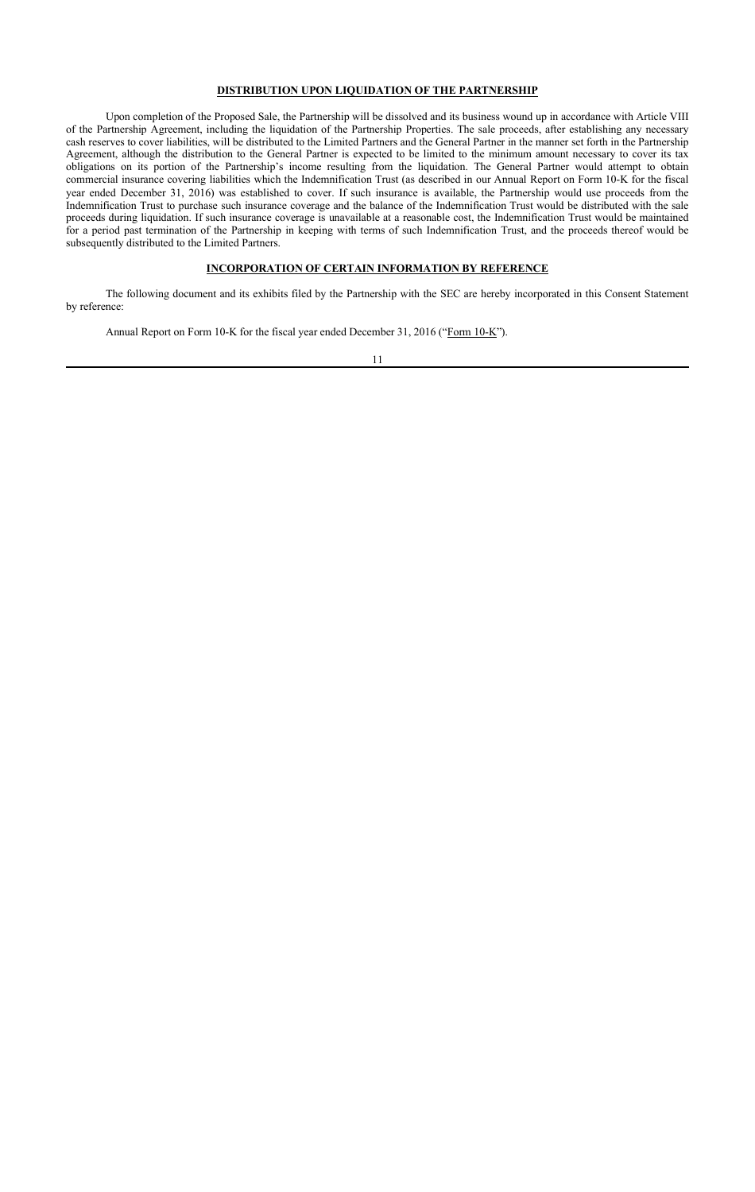## **DISTRIBUTION UPON LIQUIDATION OF THE PARTNERSHIP**

Upon completion of the Proposed Sale, the Partnership will be dissolved and its business wound up in accordance with Article VIII of the Partnership Agreement, including the liquidation of the Partnership Properties. The sale proceeds, after establishing any necessary cash reserves to cover liabilities, will be distributed to the Limited Partners and the General Partner in the manner set forth in the Partnership Agreement, although the distribution to the General Partner is expected to be limited to the minimum amount necessary to cover its tax obligations on its portion of the Partnership's income resulting from the liquidation. The General Partner would attempt to obtain commercial insurance covering liabilities which the Indemnification Trust (as described in our Annual Report on Form 10-K for the fiscal year ended December 31, 2016) was established to cover. If such insurance is available, the Partnership would use proceeds from the Indemnification Trust to purchase such insurance coverage and the balance of the Indemnification Trust would be distributed with the sale proceeds during liquidation. If such insurance coverage is unavailable at a reasonable cost, the Indemnification Trust would be maintained for a period past termination of the Partnership in keeping with terms of such Indemnification Trust, and the proceeds thereof would be subsequently distributed to the Limited Partners.

#### **INCORPORATION OF CERTAIN INFORMATION BY REFERENCE**

The following document and its exhibits filed by the Partnership with the SEC are hereby incorporated in this Consent Statement by reference:

Annual Report on Form 10-K for the fiscal year ended December 31, 2016 ("Form 10-K").

11